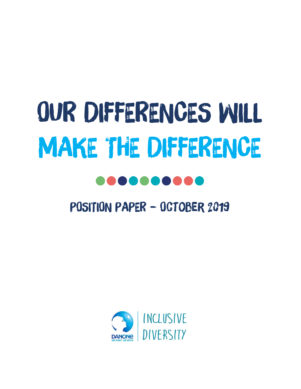# OUR DIFFERENCES WILL MAKE THE DIFFERENCE

# POSITION PAPER – October 2019

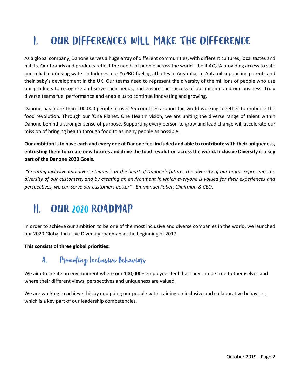### OUR DIFFERENCES WILL MAKE THE DIFFERENCE  $\mathbf{r}$

As a global company, Danone serves a huge array of different communities, with different cultures, local tastes and habits. Our brands and products reflect the needs of people across the world – be it AQUA providing access to safe and reliable drinking water in Indonesia or YoPRO fueling athletes in Australia, to Aptamil supporting parents and their baby's development in the UK. Our teams need to represent the diversity of the millions of people who use our products to recognize and serve their needs, and ensure the success of our mission and our business. Truly diverse teams fuel performance and enable us to continue innovating and growing.

Danone has more than 100,000 people in over 55 countries around the world working together to embrace the food revolution. Through our 'One Planet. One Health' vision, we are uniting the diverse range of talent within Danone behind a stronger sense of purpose. Supporting every person to grow and lead change will accelerate our mission of bringing health through food to as many people as possible.

**Our ambition is to have each and every one at Danone feel included and able to contribute with their uniqueness, entrusting them to create new futures and drive the food revolution across the world. Inclusive Diversity is a key part of the Danone 2030 Goals.**

*"Creating inclusive and diverse teams is at the heart of Danone's future. The diversity of our teams represents the diversity of our customers, and by creating an environment in which everyone is valued for their experiences and perspectives, we can serve our customers better" - Emmanuel Faber, Chairman & CEO.*

#### **OUR 2020 ROADMAP**  $\mathbf{n}$

In order to achieve our ambition to be one of the most inclusive and diverse companies in the world, we launched our 2020 Global Inclusive Diversity roadmap at the beginning of 2017.

#### **This consists of three global priorities:**

#### Promoting Inclusive Behaviors A.

We aim to create an environment where our 100,000+ employees feel that they can be true to themselves and where their different views, perspectives and uniqueness are valued.

We are working to achieve this by equipping our people with training on inclusive and collaborative behaviors, which is a key part of our leadership competencies.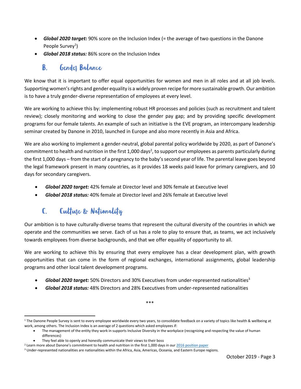- *Global 2020 target:* 90% score on the Inclusion Index (= the average of two questions in the Danone People Survey<sup>1</sup>)
- *Global 2018 status:* 86% score on the Inclusion Index

#### Gendes Balance  $\mathbf{B}$ .

We know that it is important to offer equal opportunities for women and men in all roles and at all job levels. Supporting women's rights and gender equality is a widely proven recipe for more sustainable growth. Our ambition is to have a truly gender-diverse representation of employees at every level.

We are working to achieve this by: implementing robust HR processes and policies (such as recruitment and talent review); closely monitoring and working to close the gender pay gap; and by providing specific development programs for our female talents. An example of such an initiative is the EVE program, an intercompany leadership seminar created by Danone in 2010, launched in Europe and also more recently in Asia and Africa.

We are also working to implement a gender-neutral, global parental policy worldwide by 2020, as part of Danone's commitment to health and nutrition in the first 1,000 days<sup>2</sup>, to support our employees as parents particularly during the first 1,000 days – from the start of a pregnancy to the baby's second year of life. The parental leave goes beyond the legal framework present in many countries, as it provides 18 weeks paid leave for primary caregivers, and 10 days for secondary caregivers.

- *Global 2020 target:* 42% female at Director level and 30% female at Executive level
- *Global 2018 status:* 40% female at Director level and 26% female at Executive level

#### Cultuse & Nationality  $\mathbf{C}$

Our ambition is to have culturally-diverse teams that represent the cultural diversity of the countries in which we operate and the communities we serve. Each of us has a role to play to ensure that, as teams, we act inclusively towards employees from diverse backgrounds, and that we offer equality of opportunity to all.

We are working to achieve this by ensuring that every employee has a clear development plan, with growth opportunities that can come in the form of regional exchanges, international assignments, global leadership programs and other local talent development programs.

- *Global 2020 target:* 50% Directors and 30% Executives from under-represented nationalities<sup>3</sup>
- *Global 2018 status:* 48% Directors and 28% Executives from under-represented nationalities

\*\*\*

 $\overline{a}$ <sup>1</sup> The Danone People Survey is sent to every employee worldwide every two years, to consolidate feedback on a variety of topics like health & wellbeing at work, among others. The Inclusion Index is an average of 2 questions which asked employees if:

<sup>•</sup> The management of the entity they work in supports Inclusive Diversity in the workplace (recognizing and respecting the value of human differences)

They feel able to openly and honestly communicate their views to their boss

 $2$  Learn more about Danone's commitment to health and nutrition in the first 1,000 days in our [2016 position paper](https://www.danone.com/content/dam/danone-corp/danone-com/about-us-impact/policies-and-commitments/en/2016/2016_06_DanonesCommitmentToHealthAndNutritionInTheFirst1000Days.pdf)

<sup>&</sup>lt;sup>3</sup> Under-represented nationalities are nationalities within the Africa, Asia, Americas, Oceania, and Eastern Europe regions.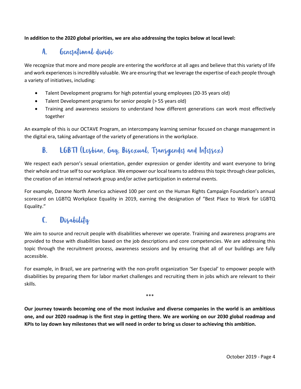#### **In addition to the 2020 global priorities, we are also addressing the topics below at local level:**

#### Genesational divide A.

We recognize that more and more people are entering the workforce at all ages and believe that this variety of life and work experiences is incredibly valuable. We are ensuring that we leverage the expertise of each people through a variety of initiatives, including:

- Talent Development programs for high potential young employees (20-35 years old)
- Talent Development programs for senior people (> 55 years old)
- Training and awareness sessions to understand how different generations can work most effectively together

An example of this is our OCTAVE Program, an intercompany learning seminar focused on change management in the digital era, taking advantage of the variety of generations in the workplace.

#### LGBTI (Lesbian, Gay, Bisexual, Tsansgendes and Intersex)  $\mathbf{B}$

We respect each person's sexual orientation, gender expression or gender identity and want everyone to bring their whole and true self to our workplace. We empower our local teams to address this topic through clear policies, the creation of an internal network group and/or active participation in external events.

For example, Danone North America achieved 100 per cent on the Human Rights Campaign Foundation's annual scorecard on LGBTQ Workplace Equality in 2019, earning the designation of "Best Place to Work for LGBTQ Equality."

### C. Disability

We aim to source and recruit people with disabilities wherever we operate. Training and awareness programs are provided to those with disabilities based on the job descriptions and core competencies. We are addressing this topic through the recruitment process, awareness sessions and by ensuring that all of our buildings are fully accessible.

For example, in Brazil, we are partnering with the non-profit organization 'Ser Especial' to empower people with disabilities by preparing them for labor market challenges and recruiting them in jobs which are relevant to their skills.

\*\*\*

**Our journey towards becoming one of the most inclusive and diverse companies in the world is an ambitious one, and our 2020 roadmap is the first step in getting there. We are working on our 2030 global roadmap and KPIs to lay down key milestones that we will need in order to bring us closer to achieving this ambition.**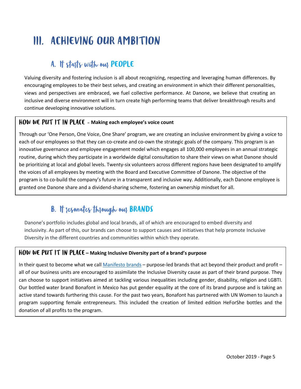# **III. ACHIEVING OUR AMBITION**

# A. It stasts with ous PEOPLE

Valuing diversity and fostering inclusion is all about recognizing, respecting and leveraging human differences. By encouraging employees to be their best selves, and creating an environment in which their different personalities, views and perspectives are embraced, we fuel collective performance. At Danone, we believe that creating an inclusive and diverse environment will in turn create high performing teams that deliver breakthrough results and continue developing innovative solutions.

### **HOW WE PUT IT IN PLACE** - Making each employee's voice count

Through our 'One Person, One Voice, One Share' program, we are creating an inclusive environment by giving a voice to each of our employees so that they can co-create and co-own the strategic goals of the company. This program is an innovative governance and employee engagement model which engages all 100,000 employees in an annual strategic routine, during which they participate in a worldwide digital consultation to share their views on what Danone should be prioritizing at local and global levels. Twenty-six volunteers across different regions have been designated to amplify the voices of all employees by meeting with the Board and Executive Committee of Danone. The objective of the program is to co-build the company's future in a transparent and inclusive way. Additionally, each Danone employee is granted one Danone share and a dividend-sharing scheme, fostering an ownership mindset for all.

# **B.** It resonates through our BRANDS

Danone's portfolio includes global and local brands, all of which are encouraged to embed diversity and inclusivity. As part of this, our brands can choose to support causes and initiatives that help promote Inclusive Diversity in the different countries and communities within which they operate.

#### **HOW WE PUT IT IN PLACE –** Making Inclusive Diversity part of a brand's purpose

In their quest to become what we call [Manifesto brands](https://www.danone.com/about-danone/sustainable-value-creation/our-brand-model.html) – purpose-led brands that act beyond their product and profit – all of our business units are encouraged to assimilate the Inclusive Diversity cause as part of their brand purpose. They can choose to support initiatives aimed at tackling various inequalities including gender, disability, religion and LGBTI. Our bottled water brand Bonafont in Mexico has put gender equality at the core of its brand purpose and is taking an active stand towards furthering this cause. For the past two years, Bonafont has partnered with UN Women to launch a program supporting female entrepreneurs. This included the creation of limited edition HeForShe bottles and the donation of all profits to the program.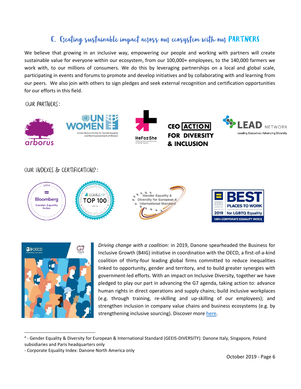# C. Creating sustainable impact across our ecosystem with our PARTNERS

We believe that growing in an inclusive way, empowering our people and working with partners will create sustainable value for everyone within our ecosystem, from our 100,000+ employees, to the 140,000 farmers we work with, to our millions of consumers. We do this by leveraging partnerships on a local and global scale, participating in events and forums to promote and develop initiatives and by collaborating with and learning from our peers. We also join with others to sign pledges and seek external recognition and certification opportunities for our efforts in this field.

OUR PARTNERS:





 $\overline{a}$ 

*Driving change with a coalition:* in 2019, Danone spearheaded the Business for Inclusive Growth (B4IG) initiative in coordination with the OECD, a first-of-a-kind coalition of thirty-four leading global firms committed to reduce inequalities linked to opportunity, gender and territory, and to build greater synergies with government-led efforts. With an impact on Inclusive Diversity, together we have pledged to play our part in advancing the G7 agenda, taking action to: advance human rights in direct operations and supply chains; build inclusive workplaces (e.g. through training, re-skilling and up-skilling of our employees); and strengthen inclusion in company value chains and business ecosystems (e.g. by strengthening inclusive sourcing). Discover mor[e here.](https://www.oecd.org/inclusive-growth/businessforinclusivegrowth/)

<sup>&</sup>lt;sup>4</sup> - Gender Equality & Diversity for European & International Standard (GEEIS-DIVERSITY): Danone Italy, Singapore, Poland subsidiaries and Paris headquarters only

<sup>-</sup> Corporate Equality Index: Danone North America only